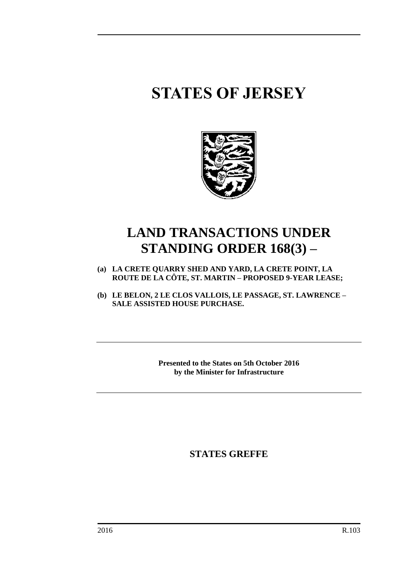# **STATES OF JERSEY**



## **LAND TRANSACTIONS UNDER STANDING ORDER 168(3) –**

- **(a) LA CRETE QUARRY SHED AND YARD, LA CRETE POINT, LA ROUTE DE LA CÔTE, ST. MARTIN – PROPOSED 9-YEAR LEASE;**
- **(b) LE BELON, 2 LE CLOS VALLOIS, LE PASSAGE, ST. LAWRENCE – SALE ASSISTED HOUSE PURCHASE.**

**Presented to the States on 5th October 2016 by the Minister for Infrastructure**

**STATES GREFFE**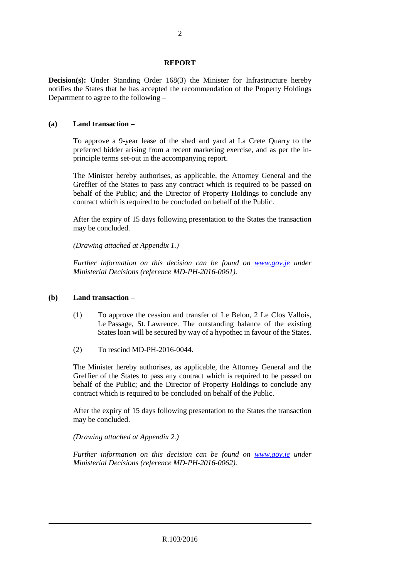#### **REPORT**

**Decision(s):** Under Standing Order 168(3) the Minister for Infrastructure hereby notifies the States that he has accepted the recommendation of the Property Holdings Department to agree to the following –

### **(a) Land transaction –**

To approve a 9-year lease of the shed and yard at La Crete Quarry to the preferred bidder arising from a recent marketing exercise, and as per the inprinciple terms set-out in the accompanying report.

The Minister hereby authorises, as applicable, the Attorney General and the Greffier of the States to pass any contract which is required to be passed on behalf of the Public; and the Director of Property Holdings to conclude any contract which is required to be concluded on behalf of the Public.

After the expiry of 15 days following presentation to the States the transaction may be concluded.

*(Drawing attached at Appendix 1.)*

*Further information on this decision can be found on <i>[www.gov.je](http://www.gov.je/)* under *Ministerial Decisions (reference MD-PH-2016-0061).*

#### **(b) Land transaction –**

- (1) To approve the cession and transfer of Le Belon, 2 Le Clos Vallois, Le Passage, St. Lawrence. The outstanding balance of the existing States loan will be secured by way of a hypothec in favour of the States.
- (2) To rescind MD-PH-2016-0044.

The Minister hereby authorises, as applicable, the Attorney General and the Greffier of the States to pass any contract which is required to be passed on behalf of the Public; and the Director of Property Holdings to conclude any contract which is required to be concluded on behalf of the Public.

After the expiry of 15 days following presentation to the States the transaction may be concluded.

*(Drawing attached at Appendix 2.)*

*Further information on this decision can be found on <i>[www.gov.je](http://www.gov.je/)* under *Ministerial Decisions (reference MD-PH-2016-0062).*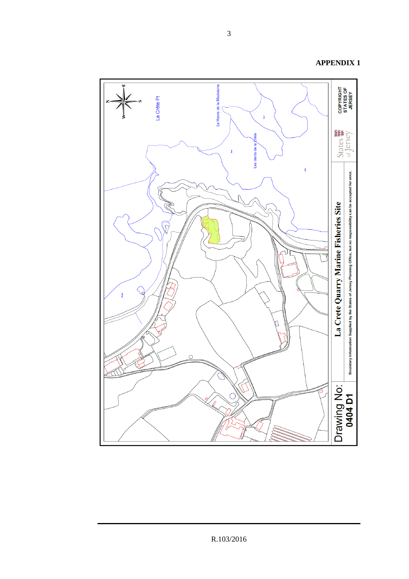

R.103/2016